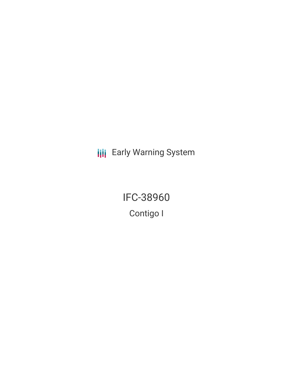**III** Early Warning System

IFC-38960 Contigo I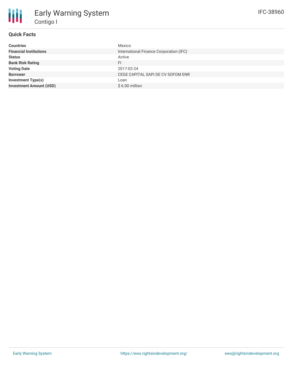## **Quick Facts**

| <b>Countries</b>               | Mexico                                  |
|--------------------------------|-----------------------------------------|
| <b>Financial Institutions</b>  | International Finance Corporation (IFC) |
| <b>Status</b>                  | Active                                  |
| <b>Bank Risk Rating</b>        | FI                                      |
| <b>Voting Date</b>             | 2017-02-24                              |
| <b>Borrower</b>                | CEGE CAPITAL SAPI DE CV SOFOM ENR       |
| <b>Investment Type(s)</b>      | Loan                                    |
| <b>Investment Amount (USD)</b> | $$6.00$ million                         |
|                                |                                         |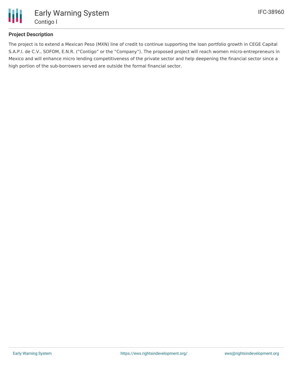

## **Project Description**

The project is to extend a Mexican Peso (MXN) line of credit to continue supporting the loan portfolio growth in CEGE Capital S.A.P.I. de C.V., SOFOM, E.N.R. ("Contigo" or the "Company"). The proposed project will reach women micro-entrepreneurs in Mexico and will enhance micro lending competitiveness of the private sector and help deepening the financial sector since a high portion of the sub-borrowers served are outside the formal financial sector.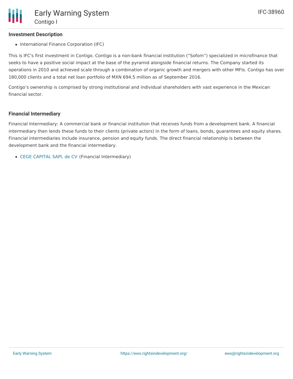#### **Investment Description**

• International Finance Corporation (IFC)

This is IFC's first investment in Contigo. Contigo is a non-bank financial institution ("Sofom") specialized in microfinance that seeks to have a positive social impact at the base of the pyramid alongside financial returns. The Company started its operations in 2010 and achieved scale through a combination of organic growth and mergers with other MFIs. Contigo has over 180,000 clients and a total net loan portfolio of MXN 694.5 million as of September 2016.

Contigo's ownership is comprised by strong institutional and individual shareholders with vast experience in the Mexican financial sector.

#### **Financial Intermediary**

Financial Intermediary: A commercial bank or financial institution that receives funds from a development bank. A financial intermediary then lends these funds to their clients (private actors) in the form of loans, bonds, guarantees and equity shares. Financial intermediaries include insurance, pension and equity funds. The direct financial relationship is between the development bank and the financial intermediary.

CEGE [CAPITAL](file:///actor/811/) SAPI, de CV (Financial Intermediary)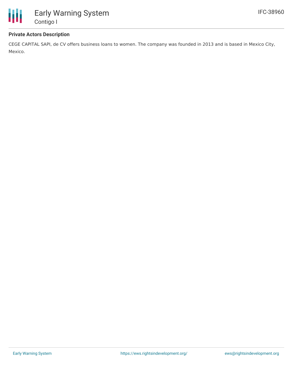

### **Private Actors Description**

CEGE CAPITAL SAPI, de CV offers business loans to women. The company was founded in 2013 and is based in Mexico City, Mexico.